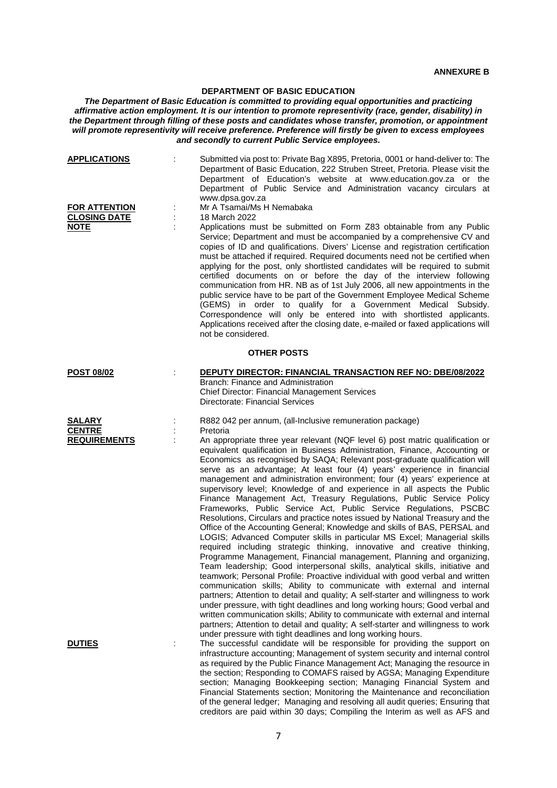## **DEPARTMENT OF BASIC EDUCATION**

*The Department of Basic Education is committed to providing equal opportunities and practicing affirmative action employment. It is our intention to promote representivity (race, gender, disability) in the Department through filling of these posts and candidates whose transfer, promotion, or appointment will promote representivity will receive preference. Preference will firstly be given to excess employees and secondly to current Public Service employees.*

| <b>APPLICATIONS</b><br><b>FOR ATTENTION</b><br><b>CLOSING DATE</b><br><b>NOTE</b> |  | Submitted via post to: Private Bag X895, Pretoria, 0001 or hand-deliver to: The<br>Department of Basic Education, 222 Struben Street, Pretoria. Please visit the<br>Department of Education's website at www.education.gov.za or the<br>Department of Public Service and Administration vacancy circulars at<br>www.dpsa.gov.za<br>Mr A Tsamai/Ms H Nemabaka<br>18 March 2022<br>Applications must be submitted on Form Z83 obtainable from any Public<br>Service; Department and must be accompanied by a comprehensive CV and<br>copies of ID and qualifications. Divers' License and registration certification<br>must be attached if required. Required documents need not be certified when<br>applying for the post, only shortlisted candidates will be required to submit<br>certified documents on or before the day of the interview following<br>communication from HR. NB as of 1st July 2006, all new appointments in the<br>public service have to be part of the Government Employee Medical Scheme<br>(GEMS) in order to qualify for a Government Medical Subsidy.<br>Correspondence will only be entered into with shortlisted applicants.<br>Applications received after the closing date, e-mailed or faxed applications will<br>not be considered.                                                                                                                                                                                                                                                                                                                                                                                                                                                                                   |  |  |  |
|-----------------------------------------------------------------------------------|--|-----------------------------------------------------------------------------------------------------------------------------------------------------------------------------------------------------------------------------------------------------------------------------------------------------------------------------------------------------------------------------------------------------------------------------------------------------------------------------------------------------------------------------------------------------------------------------------------------------------------------------------------------------------------------------------------------------------------------------------------------------------------------------------------------------------------------------------------------------------------------------------------------------------------------------------------------------------------------------------------------------------------------------------------------------------------------------------------------------------------------------------------------------------------------------------------------------------------------------------------------------------------------------------------------------------------------------------------------------------------------------------------------------------------------------------------------------------------------------------------------------------------------------------------------------------------------------------------------------------------------------------------------------------------------------------------------------------------------------------------------------------|--|--|--|
| <b>OTHER POSTS</b>                                                                |  |                                                                                                                                                                                                                                                                                                                                                                                                                                                                                                                                                                                                                                                                                                                                                                                                                                                                                                                                                                                                                                                                                                                                                                                                                                                                                                                                                                                                                                                                                                                                                                                                                                                                                                                                                           |  |  |  |
| <b>POST 08/02</b>                                                                 |  | DEPUTY DIRECTOR: FINANCIAL TRANSACTION REF NO: DBE/08/2022<br>Branch: Finance and Administration<br><b>Chief Director: Financial Management Services</b><br>Directorate: Financial Services                                                                                                                                                                                                                                                                                                                                                                                                                                                                                                                                                                                                                                                                                                                                                                                                                                                                                                                                                                                                                                                                                                                                                                                                                                                                                                                                                                                                                                                                                                                                                               |  |  |  |
| <b>SALARY</b><br><b>CENTRE</b><br><b>REQUIREMENTS</b>                             |  | R882 042 per annum, (all-Inclusive remuneration package)<br>Pretoria<br>An appropriate three year relevant (NQF level 6) post matric qualification or<br>equivalent qualification in Business Administration, Finance, Accounting or<br>Economics as recognised by SAQA; Relevant post-graduate qualification will<br>serve as an advantage; At least four (4) years' experience in financial<br>management and administration environment; four (4) years' experience at<br>supervisory level; Knowledge of and experience in all aspects the Public<br>Finance Management Act, Treasury Regulations, Public Service Policy<br>Frameworks, Public Service Act, Public Service Regulations, PSCBC<br>Resolutions, Circulars and practice notes issued by National Treasury and the<br>Office of the Accounting General; Knowledge and skills of BAS, PERSAL and<br>LOGIS; Advanced Computer skills in particular MS Excel; Managerial skills<br>required including strategic thinking, innovative and creative thinking,<br>Programme Management, Financial management, Planning and organizing,<br>Team leadership; Good interpersonal skills, analytical skills, initiative and<br>teamwork; Personal Profile: Proactive individual with good verbal and written<br>communication skills; Ability to communicate with external and internal<br>partners; Attention to detail and quality; A self-starter and willingness to work<br>under pressure, with tight deadlines and long working hours; Good verbal and<br>written communication skills; Ability to communicate with external and internal<br>partners; Attention to detail and quality; A self-starter and willingness to work<br>under pressure with tight deadlines and long working hours. |  |  |  |
| <b>DUTIES</b>                                                                     |  | The successful candidate will be responsible for providing the support on<br>infrastructure accounting; Management of system security and internal control<br>as required by the Public Finance Management Act; Managing the resource in<br>the section; Responding to COMAFS raised by AGSA; Managing Expenditure<br>section; Managing Bookkeeping section; Managing Financial System and<br>Financial Statements section; Monitoring the Maintenance and reconciliation<br>of the general ledger; Managing and resolving all audit queries; Ensuring that                                                                                                                                                                                                                                                                                                                                                                                                                                                                                                                                                                                                                                                                                                                                                                                                                                                                                                                                                                                                                                                                                                                                                                                               |  |  |  |

creditors are paid within 30 days; Compiling the Interim as well as AFS and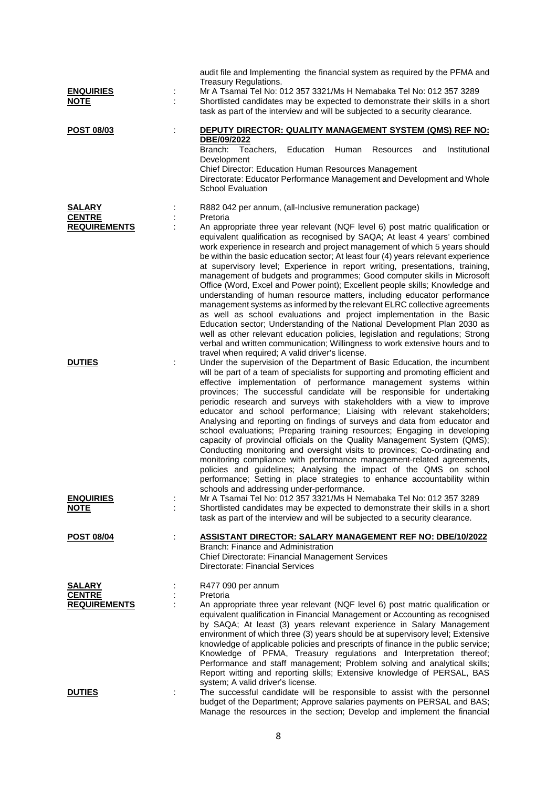| <b>ENQUIRIES</b><br><b>NOTE</b>                       | ÷ | audit file and Implementing the financial system as required by the PFMA and<br>Treasury Regulations.<br>Mr A Tsamai Tel No: 012 357 3321/Ms H Nemabaka Tel No: 012 357 3289<br>Shortlisted candidates may be expected to demonstrate their skills in a short<br>task as part of the interview and will be subjected to a security clearance.                                                                                                                                                                                                                                                                                                                                                                                                                                                                                                                                                                                                                                                                                                                                                                                    |
|-------------------------------------------------------|---|----------------------------------------------------------------------------------------------------------------------------------------------------------------------------------------------------------------------------------------------------------------------------------------------------------------------------------------------------------------------------------------------------------------------------------------------------------------------------------------------------------------------------------------------------------------------------------------------------------------------------------------------------------------------------------------------------------------------------------------------------------------------------------------------------------------------------------------------------------------------------------------------------------------------------------------------------------------------------------------------------------------------------------------------------------------------------------------------------------------------------------|
| <b>POST 08/03</b>                                     |   | DEPUTY DIRECTOR: QUALITY MANAGEMENT SYSTEM (QMS) REF NO:<br>DBE/09/2022<br>Branch:<br>Teachers,<br>Education<br>Human<br>Institutional<br>Resources<br>and<br>Development<br>Chief Director: Education Human Resources Management<br>Directorate: Educator Performance Management and Development and Whole<br><b>School Evaluation</b>                                                                                                                                                                                                                                                                                                                                                                                                                                                                                                                                                                                                                                                                                                                                                                                          |
| <b>SALARY</b><br><b>CENTRE</b><br><b>REQUIREMENTS</b> |   | R882 042 per annum, (all-Inclusive remuneration package)<br>Pretoria<br>An appropriate three year relevant (NQF level 6) post matric qualification or<br>equivalent qualification as recognised by SAQA; At least 4 years' combined<br>work experience in research and project management of which 5 years should<br>be within the basic education sector; At least four (4) years relevant experience<br>at supervisory level; Experience in report writing, presentations, training,<br>management of budgets and programmes; Good computer skills in Microsoft<br>Office (Word, Excel and Power point); Excellent people skills; Knowledge and<br>understanding of human resource matters, including educator performance<br>management systems as informed by the relevant ELRC collective agreements<br>as well as school evaluations and project implementation in the Basic<br>Education sector; Understanding of the National Development Plan 2030 as<br>well as other relevant education policies, legislation and regulations; Strong<br>verbal and written communication; Willingness to work extensive hours and to |
| <b>DUTIES</b>                                         | ÷ | travel when required; A valid driver's license.<br>Under the supervision of the Department of Basic Education, the incumbent<br>will be part of a team of specialists for supporting and promoting efficient and<br>effective implementation of performance management systems within<br>provinces; The successful candidate will be responsible for undertaking<br>periodic research and surveys with stakeholders with a view to improve<br>educator and school performance; Liaising with relevant stakeholders;<br>Analysing and reporting on findings of surveys and data from educator and<br>school evaluations; Preparing training resources; Engaging in developing<br>capacity of provincial officials on the Quality Management System (QMS);<br>Conducting monitoring and oversight visits to provinces; Co-ordinating and<br>monitoring compliance with performance management-related agreements,<br>policies and guidelines; Analysing the impact of the QMS on school<br>performance; Setting in place strategies to enhance accountability within<br>schools and addressing under-performance.                  |
| <b>ENQUIRIES</b><br><b>NOTE</b>                       |   | Mr A Tsamai Tel No: 012 357 3321/Ms H Nemabaka Tel No: 012 357 3289<br>Shortlisted candidates may be expected to demonstrate their skills in a short<br>task as part of the interview and will be subjected to a security clearance.                                                                                                                                                                                                                                                                                                                                                                                                                                                                                                                                                                                                                                                                                                                                                                                                                                                                                             |
| <b>POST 08/04</b>                                     |   | ASSISTANT DIRECTOR: SALARY MANAGEMENT REF NO: DBE/10/2022<br>Branch: Finance and Administration<br>Chief Directorate: Financial Management Services<br>Directorate: Financial Services                                                                                                                                                                                                                                                                                                                                                                                                                                                                                                                                                                                                                                                                                                                                                                                                                                                                                                                                           |
| <b>SALARY</b><br><b>CENTRE</b><br><b>REQUIREMENTS</b> |   | R477 090 per annum<br>Pretoria<br>An appropriate three year relevant (NQF level 6) post matric qualification or<br>equivalent qualification in Financial Management or Accounting as recognised<br>by SAQA; At least (3) years relevant experience in Salary Management<br>environment of which three (3) years should be at supervisory level; Extensive<br>knowledge of applicable policies and prescripts of finance in the public service;<br>Knowledge of PFMA, Treasury regulations and Interpretation thereof;<br>Performance and staff management; Problem solving and analytical skills;<br>Report witting and reporting skills; Extensive knowledge of PERSAL, BAS                                                                                                                                                                                                                                                                                                                                                                                                                                                     |
| <b>DUTIES</b>                                         |   | system; A valid driver's license.<br>The successful candidate will be responsible to assist with the personnel<br>budget of the Department; Approve salaries payments on PERSAL and BAS;<br>Manage the resources in the section; Develop and implement the financial                                                                                                                                                                                                                                                                                                                                                                                                                                                                                                                                                                                                                                                                                                                                                                                                                                                             |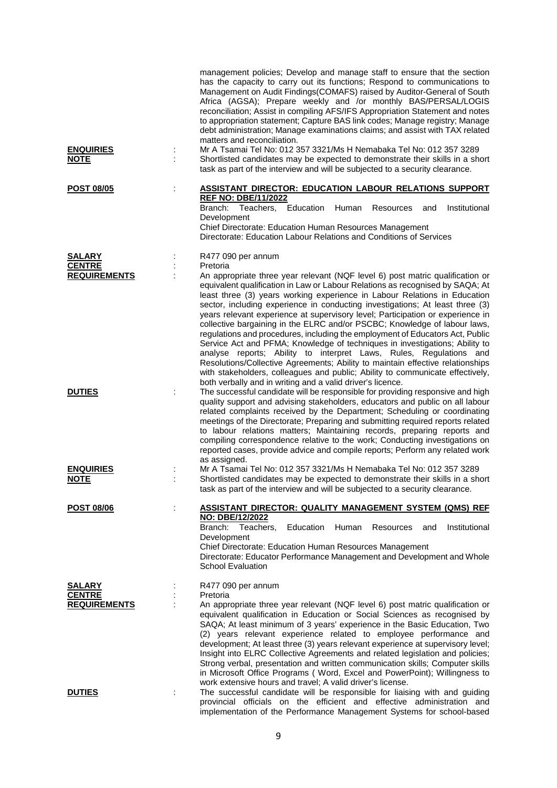| <b>ENQUIRIES</b><br><b>NOTE</b>                       | management policies; Develop and manage staff to ensure that the section<br>has the capacity to carry out its functions; Respond to communications to<br>Management on Audit Findings(COMAFS) raised by Auditor-General of South<br>Africa (AGSA); Prepare weekly and /or monthly BAS/PERSAL/LOGIS<br>reconciliation; Assist in compiling AFS/IFS Appropriation Statement and notes<br>to appropriation statement; Capture BAS link codes; Manage registry; Manage<br>debt administration; Manage examinations claims; and assist with TAX related<br>matters and reconciliation.<br>Mr A Tsamai Tel No: 012 357 3321/Ms H Nemabaka Tel No: 012 357 3289<br>Shortlisted candidates may be expected to demonstrate their skills in a short<br>task as part of the interview and will be subjected to a security clearance. |
|-------------------------------------------------------|---------------------------------------------------------------------------------------------------------------------------------------------------------------------------------------------------------------------------------------------------------------------------------------------------------------------------------------------------------------------------------------------------------------------------------------------------------------------------------------------------------------------------------------------------------------------------------------------------------------------------------------------------------------------------------------------------------------------------------------------------------------------------------------------------------------------------|
| <b>POST 08/05</b>                                     | <b>ASSISTANT DIRECTOR: EDUCATION LABOUR RELATIONS SUPPORT</b><br><b>REF NO: DBE/11/2022</b><br>Teachers, Education<br>Branch:<br>Institutional<br>Human<br>Resources<br>and<br>Development                                                                                                                                                                                                                                                                                                                                                                                                                                                                                                                                                                                                                                |
|                                                       | Chief Directorate: Education Human Resources Management<br>Directorate: Education Labour Relations and Conditions of Services                                                                                                                                                                                                                                                                                                                                                                                                                                                                                                                                                                                                                                                                                             |
| <b>SALARY</b><br><b>CENTRE</b><br><b>REQUIREMENTS</b> | R477 090 per annum<br>Pretoria<br>An appropriate three year relevant (NQF level 6) post matric qualification or<br>equivalent qualification in Law or Labour Relations as recognised by SAQA; At<br>least three (3) years working experience in Labour Relations in Education<br>sector, including experience in conducting investigations; At least three (3)                                                                                                                                                                                                                                                                                                                                                                                                                                                            |
|                                                       | years relevant experience at supervisory level; Participation or experience in<br>collective bargaining in the ELRC and/or PSCBC; Knowledge of labour laws,<br>regulations and procedures, including the employment of Educators Act, Public<br>Service Act and PFMA; Knowledge of techniques in investigations; Ability to<br>analyse reports; Ability to interpret Laws, Rules, Regulations and<br>Resolutions/Collective Agreements; Ability to maintain effective relationships<br>with stakeholders, colleagues and public; Ability to communicate effectively,<br>both verbally and in writing and a valid driver's licence.                                                                                                                                                                                        |
| <b>DUTIES</b>                                         | The successful candidate will be responsible for providing responsive and high<br>quality support and advising stakeholders, educators and public on all labour<br>related complaints received by the Department; Scheduling or coordinating<br>meetings of the Directorate; Preparing and submitting required reports related<br>to labour relations matters; Maintaining records, preparing reports and<br>compiling correspondence relative to the work; Conducting investigations on<br>reported cases, provide advice and compile reports; Perform any related work<br>as assigned.                                                                                                                                                                                                                                  |
| <b>ENQUIRIES</b><br><b>NOTE</b>                       | Mr A Tsamai Tel No: 012 357 3321/Ms H Nemabaka Tel No: 012 357 3289<br>Shortlisted candidates may be expected to demonstrate their skills in a short<br>task as part of the interview and will be subjected to a security clearance.                                                                                                                                                                                                                                                                                                                                                                                                                                                                                                                                                                                      |
| <b>POST 08/06</b>                                     | <b>ASSISTANT DIRECTOR: QUALITY MANAGEMENT SYSTEM (QMS) REF</b>                                                                                                                                                                                                                                                                                                                                                                                                                                                                                                                                                                                                                                                                                                                                                            |
|                                                       | NO: DBE/12/2022<br>Branch: Teachers.<br>Education<br>Human<br>Resources<br>and<br>Institutional<br>Development<br>Chief Directorate: Education Human Resources Management<br>Directorate: Educator Performance Management and Development and Whole<br><b>School Evaluation</b>                                                                                                                                                                                                                                                                                                                                                                                                                                                                                                                                           |
| <b>SALARY</b>                                         | R477 090 per annum                                                                                                                                                                                                                                                                                                                                                                                                                                                                                                                                                                                                                                                                                                                                                                                                        |
| <b>CENTRE</b><br><b>REQUIREMENTS</b>                  | Pretoria<br>An appropriate three year relevant (NQF level 6) post matric qualification or                                                                                                                                                                                                                                                                                                                                                                                                                                                                                                                                                                                                                                                                                                                                 |
|                                                       | equivalent qualification in Education or Social Sciences as recognised by<br>SAQA; At least minimum of 3 years' experience in the Basic Education, Two<br>(2) years relevant experience related to employee performance and<br>development; At least three (3) years relevant experience at supervisory level;<br>Insight into ELRC Collective Agreements and related legislation and policies;<br>Strong verbal, presentation and written communication skills; Computer skills<br>in Microsoft Office Programs ( Word, Excel and PowerPoint); Willingness to                                                                                                                                                                                                                                                            |
| <b>DUTIES</b>                                         | work extensive hours and travel; A valid driver's license.<br>The successful candidate will be responsible for liaising with and guiding<br>provincial officials on the efficient and effective administration and<br>implementation of the Performance Management Systems for school-based                                                                                                                                                                                                                                                                                                                                                                                                                                                                                                                               |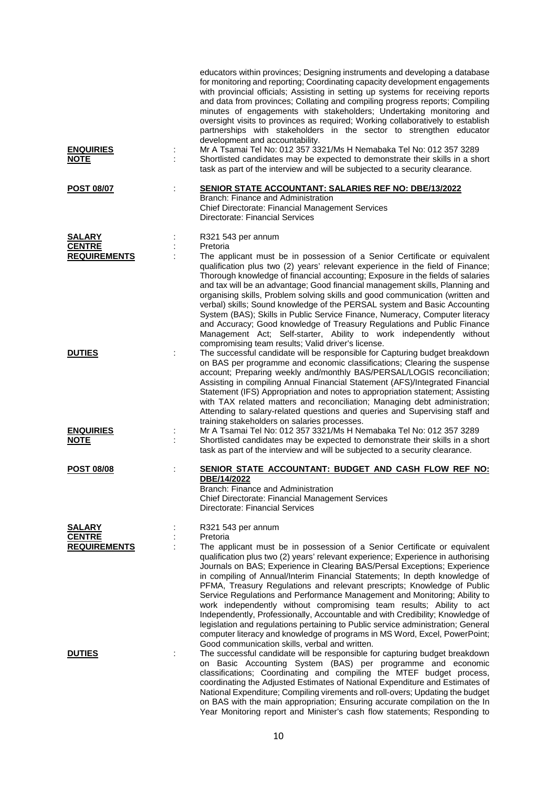| <b>ENQUIRIES</b><br><u>NOTE</u>                       | ÷ | educators within provinces; Designing instruments and developing a database<br>for monitoring and reporting; Coordinating capacity development engagements<br>with provincial officials; Assisting in setting up systems for receiving reports<br>and data from provinces; Collating and compiling progress reports; Compiling<br>minutes of engagements with stakeholders; Undertaking monitoring and<br>oversight visits to provinces as required; Working collaboratively to establish<br>partnerships with stakeholders in the sector to strengthen educator<br>development and accountability.<br>Mr A Tsamai Tel No: 012 357 3321/Ms H Nemabaka Tel No: 012 357 3289<br>Shortlisted candidates may be expected to demonstrate their skills in a short<br>task as part of the interview and will be subjected to a security clearance.                                                     |
|-------------------------------------------------------|---|-------------------------------------------------------------------------------------------------------------------------------------------------------------------------------------------------------------------------------------------------------------------------------------------------------------------------------------------------------------------------------------------------------------------------------------------------------------------------------------------------------------------------------------------------------------------------------------------------------------------------------------------------------------------------------------------------------------------------------------------------------------------------------------------------------------------------------------------------------------------------------------------------|
| <b>POST 08/07</b>                                     |   | <b>SENIOR STATE ACCOUNTANT: SALARIES REF NO: DBE/13/2022</b><br>Branch: Finance and Administration<br>Chief Directorate: Financial Management Services<br>Directorate: Financial Services                                                                                                                                                                                                                                                                                                                                                                                                                                                                                                                                                                                                                                                                                                       |
| <b>SALARY</b><br><b>CENTRE</b><br><b>REQUIREMENTS</b> |   | R321 543 per annum<br>Pretoria<br>The applicant must be in possession of a Senior Certificate or equivalent<br>qualification plus two (2) years' relevant experience in the field of Finance;<br>Thorough knowledge of financial accounting; Exposure in the fields of salaries<br>and tax will be an advantage; Good financial management skills, Planning and<br>organising skills, Problem solving skills and good communication (written and<br>verbal) skills; Sound knowledge of the PERSAL system and Basic Accounting<br>System (BAS); Skills in Public Service Finance, Numeracy, Computer literacy<br>and Accuracy; Good knowledge of Treasury Regulations and Public Finance<br>Management Act; Self-starter, Ability to work independently without<br>compromising team results; Valid driver's license.                                                                            |
| <b>DUTIES</b><br><b>ENQUIRIES</b><br><b>NOTE</b>      |   | The successful candidate will be responsible for Capturing budget breakdown<br>on BAS per programme and economic classifications; Clearing the suspense<br>account; Preparing weekly and/monthly BAS/PERSAL/LOGIS reconciliation;<br>Assisting in compiling Annual Financial Statement (AFS)/Integrated Financial<br>Statement (IFS) Appropriation and notes to appropriation statement; Assisting<br>with TAX related matters and reconciliation; Managing debt administration;<br>Attending to salary-related questions and queries and Supervising staff and<br>training stakeholders on salaries processes.<br>Mr A Tsamai Tel No: 012 357 3321/Ms H Nemabaka Tel No: 012 357 3289<br>Shortlisted candidates may be expected to demonstrate their skills in a short                                                                                                                         |
| <b>POST 08/08</b>                                     |   | task as part of the interview and will be subjected to a security clearance.<br>SENIOR STATE ACCOUNTANT: BUDGET AND CASH FLOW REF NO:<br>DBE/14/2022                                                                                                                                                                                                                                                                                                                                                                                                                                                                                                                                                                                                                                                                                                                                            |
|                                                       |   | Branch: Finance and Administration<br>Chief Directorate: Financial Management Services<br>Directorate: Financial Services                                                                                                                                                                                                                                                                                                                                                                                                                                                                                                                                                                                                                                                                                                                                                                       |
| <b>SALARY</b><br><b>CENTRE</b><br><b>REQUIREMENTS</b> |   | R321 543 per annum<br>Pretoria<br>The applicant must be in possession of a Senior Certificate or equivalent<br>qualification plus two (2) years' relevant experience; Experience in authorising<br>Journals on BAS; Experience in Clearing BAS/Persal Exceptions; Experience<br>in compiling of Annual/Interim Financial Statements; In depth knowledge of<br>PFMA, Treasury Regulations and relevant prescripts; Knowledge of Public<br>Service Regulations and Performance Management and Monitoring; Ability to<br>work independently without compromising team results; Ability to act<br>Independently, Professionally, Accountable and with Credibility; Knowledge of<br>legislation and regulations pertaining to Public service administration; General<br>computer literacy and knowledge of programs in MS Word, Excel, PowerPoint;<br>Good communication skills, verbal and written. |
| <b>DUTIES</b>                                         | ÷ | The successful candidate will be responsible for capturing budget breakdown<br>on Basic Accounting System (BAS) per programme and economic<br>classifications; Coordinating and compiling the MTEF budget process,<br>coordinating the Adjusted Estimates of National Expenditure and Estimates of<br>National Expenditure; Compiling virements and roll-overs; Updating the budget<br>on BAS with the main appropriation; Ensuring accurate compilation on the In                                                                                                                                                                                                                                                                                                                                                                                                                              |

Year Monitoring report and Minister's cash flow statements; Responding to